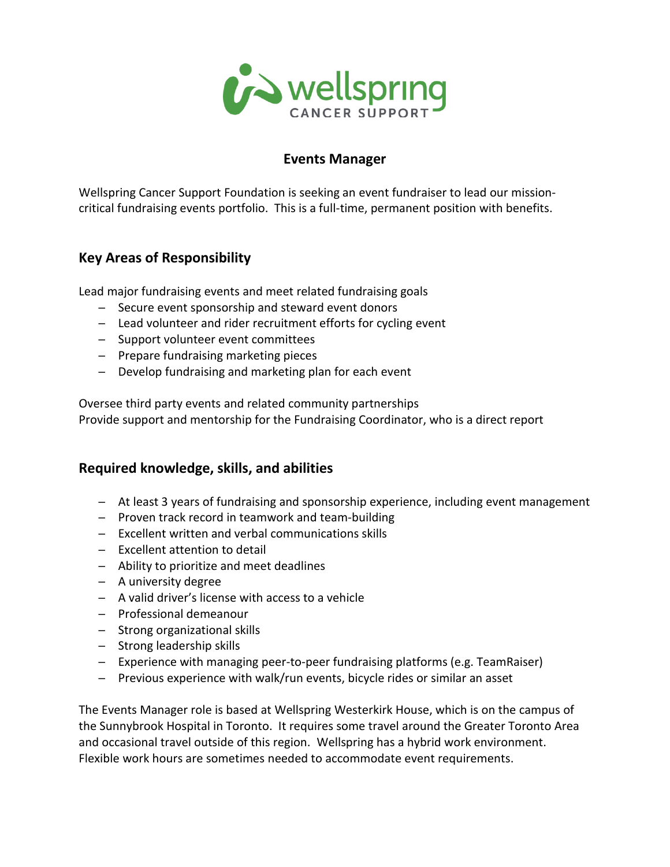

## **Events Manager**

Wellspring Cancer Support Foundation is seeking an event fundraiser to lead our missioncritical fundraising events portfolio. This is a full-time, permanent position with benefits.

## **Key Areas of Responsibility**

Lead major fundraising events and meet related fundraising goals

- ─ Secure event sponsorship and steward event donors
- $-$  Lead volunteer and rider recruitment efforts for cycling event
- ─ Support volunteer event committees
- ─ Prepare fundraising marketing pieces
- ─ Develop fundraising and marketing plan for each event

Oversee third party events and related community partnerships Provide support and mentorship for the Fundraising Coordinator, who is a direct report

## **Required knowledge, skills, and abilities**

- ─ At least 3 years of fundraising and sponsorship experience, including event management
- ─ Proven track record in teamwork and team-building
- ─ Excellent written and verbal communications skills
- ─ Excellent attention to detail
- ─ Ability to prioritize and meet deadlines
- ─ A university degree
- ─ A valid driver's license with access to a vehicle
- ─ Professional demeanour
- ─ Strong organizational skills
- ─ Strong leadership skills
- $-$  Experience with managing peer-to-peer fundraising platforms (e.g. TeamRaiser)
- Previous experience with walk/run events, bicycle rides or similar an asset

The Events Manager role is based at Wellspring Westerkirk House, which is on the campus of the Sunnybrook Hospital in Toronto. It requires some travel around the Greater Toronto Area and occasional travel outside of this region. Wellspring has a hybrid work environment. Flexible work hours are sometimes needed to accommodate event requirements.